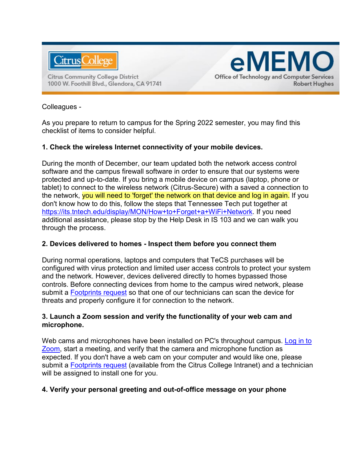

**Citrus Community College District** 1000 W. Foothill Blvd., Glendora, CA 91741



#### Colleagues -

As you prepare to return to campus for the Spring 2022 semester, you may find this checklist of items to consider helpful.

#### **1. Check the wireless Internet connectivity of your mobile devices.**

During the month of December, our team updated both the network access control software and the campus firewall software in order to ensure that our systems were protected and up-to-date. If you bring a mobile device on campus (laptop, phone or tablet) to connect to the wireless network (Citrus-Secure) with a saved a connection to the network, you will need to 'forget' the network on that device and log in again. If you don't know how to do this, follow the steps that Tennessee Tech put together at [https://its.tntech.edu/display/MON/How+to+Forget+a+WiFi+Network.](https://its.tntech.edu/display/MON/How+to+Forget+a+WiFi+Network) If you need additional assistance, please stop by the Help Desk in IS 103 and we can walk you through the process.

# **2. Devices delivered to homes - Inspect them before you connect them**

During normal operations, laptops and computers that TeCS purchases will be configured with virus protection and limited user access controls to protect your system and the network. However, devices delivered directly to homes bypassed those controls. Before connecting devices from home to the campus wired network, please submit a [Footprints request](http://itrequest/footprints) so that one of our technicians can scan the device for threats and properly configure it for connection to the network.

#### **3. Launch a Zoom session and verify the functionality of your web cam and microphone.**

Web cams and microphones have been installed on PC's throughout campus. Log in to [Zoom,](https://cccconfer.zoom.us/signin) start a meeting, and verify that the camera and microphone function as expected. If you don't have a web cam on your computer and would like one, please submit a **Footprints request** (available from the Citrus College Intranet) and a technician will be assigned to install one for you.

# **4. Verify your personal greeting and out-of-office message on your phone**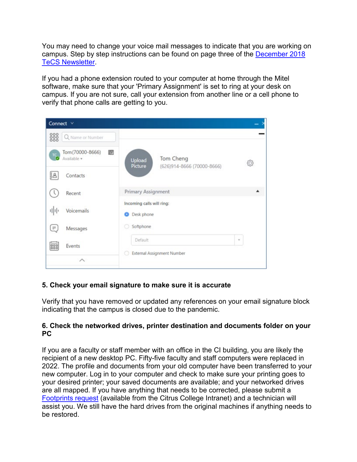You may need to change your voice mail messages to indicate that you are working on campus. Step by step instructions can be found on page three of the [December 2018](https://www.citruscollege.edu/tecs/Documents/Updates/2018/12.2018.pdf)  [TeCS Newsletter.](https://www.citruscollege.edu/tecs/Documents/Updates/2018/12.2018.pdf)

If you had a phone extension routed to your computer at home through the Mitel software, make sure that your 'Primary Assignment' is set to ring at your desk on campus. If you are not sure, call your extension from another line or a cell phone to verify that phone calls are getting to you.

| Connect $\vee$                              |                                                              |              |
|---------------------------------------------|--------------------------------------------------------------|--------------|
| 888<br>Q Name or Number                     |                                                              |              |
| Tom (70000-8666)<br>Œ<br>TC.<br>Available * | Tom Cheng<br>Upload<br>Picture<br>(626)914-8666 (70000-8666) | 6            |
| Contacts<br>18                              |                                                              |              |
| Recent                                      | Primary Assignment                                           |              |
| 마마<br>Voicemails                            | Incoming calls will ring:<br>Desk phone<br>œ                 |              |
| $\equiv$<br>Messages                        | Softphone                                                    |              |
| ees<br>Events                               | Default                                                      | $\mathbf{w}$ |
| ᄉ                                           | External Assignment Number<br>o                              |              |

# **5. Check your email signature to make sure it is accurate**

Verify that you have removed or updated any references on your email signature block indicating that the campus is closed due to the pandemic.

#### **6. Check the networked drives, printer destination and documents folder on your PC**

If you are a faculty or staff member with an office in the CI building, you are likely the recipient of a new desktop PC. Fifty-five faculty and staff computers were replaced in 2022. The profile and documents from your old computer have been transferred to your new computer. Log in to your computer and check to make sure your printing goes to your desired printer; your saved documents are available; and your networked drives are all mapped. If you have anything that needs to be corrected, please submit a [Footprints request](http://itrequest/footprints) (available from the Citrus College Intranet) and a technician will assist you. We still have the hard drives from the original machines if anything needs to be restored.